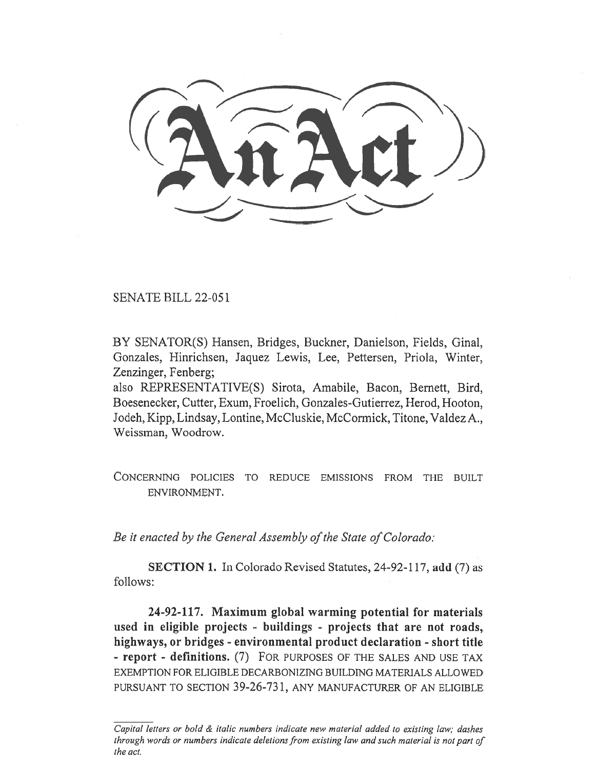SENATE BILL 22-051

BY SENATOR(S) Hansen, Bridges, Buckner, Danielson, Fields, Ginal, Gonzales, Hinrichsen, Jaquez Lewis, Lee, Pettersen, Priola, Winter, Zenzinger, Fenberg;

also REPRESENTATIVE(S) Sirota, Amabile, Bacon, Bernett, Bird, Boesenecker, Cutter, Exum, Froelich, Gonzales-Gutierrez, Herod, Hooton, Jodeh, Kipp, Lindsay, Lontine, McCluskie, McCormick, Titone, Valdez A., Weissman, Woodrow.

CONCERNING POLICIES TO REDUCE EMISSIONS FROM THE BUILT ENVIRONMENT.

Be it enacted by the General Assembly of the State of Colorado:

SECTION 1. In Colorado Revised Statutes, 24-92-117, add (7) as follows:

24-92-117. Maximum global warming potential for materials used in eligible projects - buildings - projects that are not roads, highways, or bridges - environmental product declaration - short title - report - definitions. (7) FOR PURPOSES OF THE SALES AND USE TAX EXEMPTION FOR ELIGIBLE DECARBONIZING BUILDING MATERIALS ALLOWED PURSUANT TO SECTION 39-26-731, ANY MANUFACTURER OF AN ELIGIBLE

Capital letters or bold & italic numbers indicate new material added to existing law; dashes through words or numbers indicate deletions from existing law and such material is not part of the act.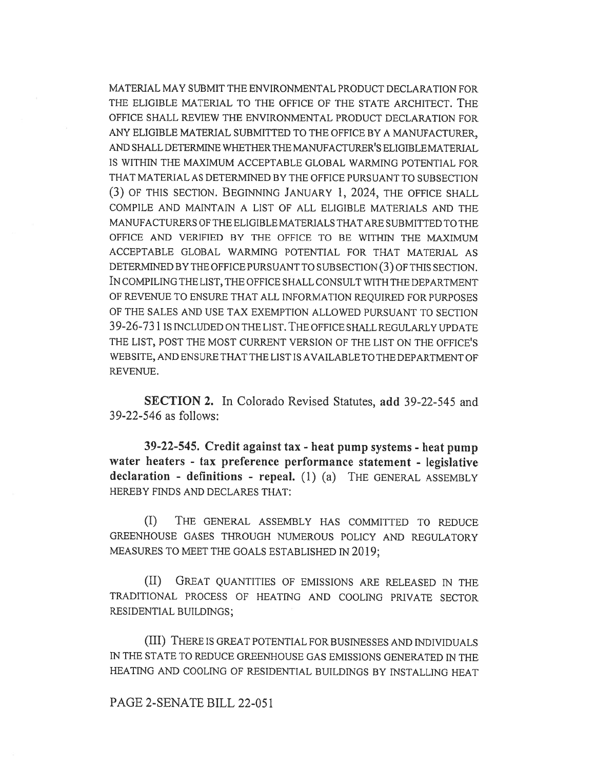MATERIAL MAY SUBMIT THE ENVIRONMENTAL PRODUCT DECLARATION FOR THE ELIGIBLE MATERIAL TO THE OFFICE OF THE STATE ARCHITECT. THE OFFICE SHALL REVIEW THE ENVIRONMENTAL PRODUCT DECLARATION FOR ANY ELIGIBLE MATERIAL SUBMITTED TO THE OFFICE BY A MANUFACTURER, AND SHALL DETERMINE WHETHER THE MANUFACTURER'S ELIGIBLE MATERIAL IS WITHIN THE MAXIMUM ACCEPTABLE GLOBAL WARMING POTENTIAL FOR THAT MATERIAL AS DETERMINED BY THE OFFICE PURSUANT TO SUBSECTION (3) OF THIS SECTION. BEGINNING JANUARY 1, 2024, THE OFFICE SHALL COMPILE AND MAINTAIN A LIST OF ALL ELIGIBLE MATERIALS AND THE MANUFACTURERS OF THE ELIGIBLE MATERIALS THAT ARE SUBMITTED TO THE OFFICE AND VERIFIED BY THE OFFICE TO BE WITHIN THE MAXIMUM ACCEPTABLE GLOBAL WARMING POTENTIAL FOR THAT MATERIAL AS DETERMINED BY THE OFFICE PURSUANT TO SUBSECTION (3) OF THIS SECTION. IN COMPILING THE LIST, THE OFFICE SHALL CONSULT WITH THE DEPARTMENT OF REVENUE TO ENSURE THAT ALL INFORMATION REQUIRED FOR PURPOSES OF THE SALES AND USE TAX EXEMPTION ALLOWED PURSUANT TO SECTION 39-26-731 IS INCLUDED ON THE LIST. THE OFFICE SHALL REGULARLY UPDATE THE LIST, POST THE MOST CURRENT VERSION OF THE LIST ON THE OFFICE'S WEBSITE, AND ENSURE THAT THE LIST IS AVAILABLE TO THE DEPARTMENT OF REVENUE.

SECTION 2. In Colorado Revised Statutes, add 39-22-545 and 39-22-546 as follows:

39-22-545. Credit against tax - heat pump systems - heat pump water heaters - tax preference performance statement - legislative declaration - definitions - repeal. (1) (a) THE GENERAL ASSEMBLY HEREBY FINDS AND DECLARES THAT:

(I) THE GENERAL ASSEMBLY HAS COMMITTED TO REDUCE GREENHOUSE GASES THROUGH NUMEROUS POLICY AND REGULATORY MEASURES TO MEET THE GOALS ESTABLISHED IN 2019;

(II) GREAT QUANTITIES OF EMISSIONS ARE RELEASED IN THE TRADITIONAL PROCESS OF HEATING AND COOLING PRIVATE SECTOR RESIDENTIAL BUILDINGS;

(III) THERE IS GREAT POTENTIAL FOR BUSINESSES AND INDIVIDUALS IN THE STATE TO REDUCE GREENHOUSE GAS EMISSIONS GENERATED IN THE HEATING AND COOLING OF RESIDENTIAL BUILDINGS BY INSTALLING HEAT

# PAGE 2-SENATE BILL 22-051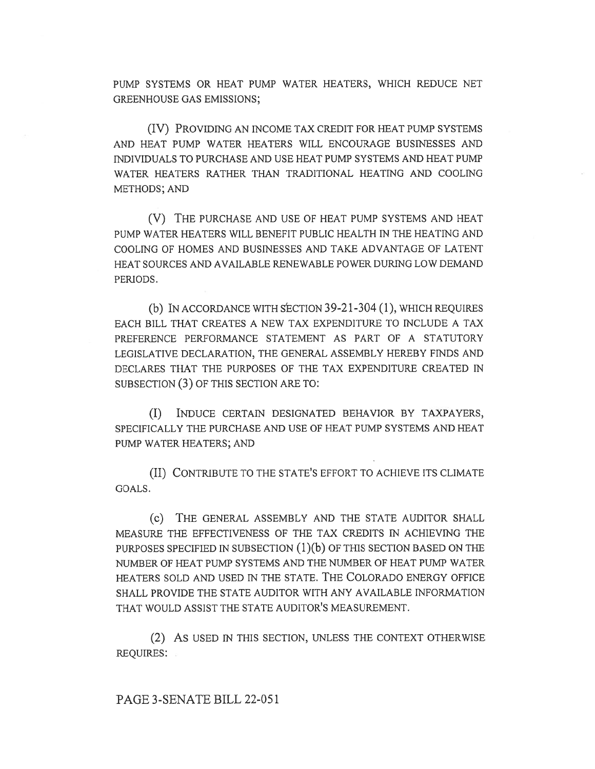PUMP SYSTEMS OR HEAT PUMP WATER HEATERS, WHICH REDUCE NET GREENHOUSE GAS EMISSIONS;

(IV) PROVIDING AN INCOME TAX CREDIT FOR HEAT PUMP SYSTEMS AND HEAT PUMP WATER HEATERS WILL ENCOURAGE BUSINESSES AND INDIVIDUALS TO PURCHASE AND USE HEAT PUMP SYSTEMS AND HEAT PUMP WATER HEATERS RATHER THAN TRADITIONAL HEATING AND COOLING METHODS; AND

(V) THE PURCHASE AND USE OF HEAT PUMP SYSTEMS AND HEAT PUMP WATER HEATERS WILL BENEFIT PUBLIC HEALTH IN THE HEATING AND COOLING OF HOMES AND BUSINESSES AND TAKE ADVANTAGE OF LATENT HEAT SOURCES AND AVAILABLE RENEWABLE POWER DURING LOW DEMAND PERIODS.

(b) IN ACCORDANCE WITH SECTION 39-21-304 (1), WHICH REQUIRES EACH BILL THAT CREATES A NEW TAX EXPENDITURE TO INCLUDE A TAX PREFERENCE PERFORMANCE STATEMENT AS PART OF A STATUTORY LEGISLATIVE DECLARATION, THE GENERAL ASSEMBLY HEREBY FINDS AND DECLARES THAT THE PURPOSES OF THE TAX EXPENDITURE CREATED IN SUBSECTION (3) OF THIS SECTION ARE TO:

(I) INDUCE CERTAIN DESIGNATED BEHAVIOR BY TAXPAYERS, SPECIFICALLY THE PURCHASE AND USE OF HEAT PUMP SYSTEMS AND HEAT PUMP WATER HEATERS; AND

(II) CONTRIBUTE TO THE STATE'S EFFORT TO ACHIEVE ITS CLIMATE GOALS.

(c) THE GENERAL ASSEMBLY AND THE STATE AUDITOR SHALL MEASURE THE EFFECTIVENESS OF THE TAX CREDITS IN ACHIEVING THE PURPOSES SPECIFIED IN SUBSECTION  $(1)(b)$  OF THIS SECTION BASED ON THE NUMBER OF HEAT PUMP SYSTEMS AND THE NUMBER OF HEAT PUMP WATER HEATERS SOLD AND USED IN THE STATE. THE COLORADO ENERGY OFFICE SHALL PROVIDE THE STATE AUDITOR WITH ANY AVAILABLE INFORMATION THAT WOULD ASSIST THE STATE AUDITOR'S MEASUREMENT.

(2) AS USED IN THIS SECTION, UNLESS THE CONTEXT OTHERWISE REQUIRES:

PAGE 3-SENATE BILL 22-051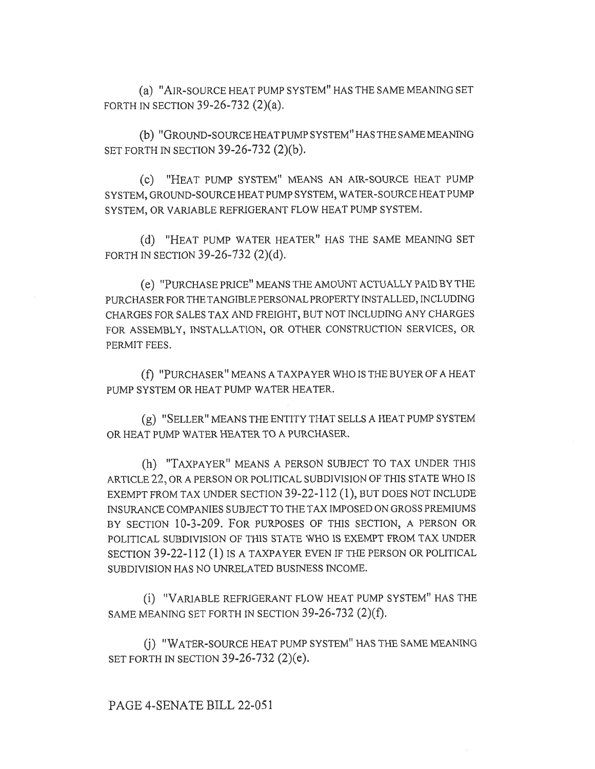(a) "AIR-SOURCE HEAT PUMP SYSTEM" HAS THE SAME MEANING SET FORTH IN SECTION 39-26-732 (2)(a).

(b) "GROUND-SOURCE HEAT PUMP SYSTEM" HAS THE SAME MEANING SET FORTH IN SECTION 39-26-732 (2)(b).

(c) "HEAT PUMP SYSTEM" MEANS AN AIR-SOURCE HEAT PUMP SYSTEM, GROUND-SOURCE HEAT PUMP SYSTEM, WATER-SOURCE HEAT PUMP SYSTEM, OR VARIABLE REFRIGERANT FLOW HEAT PUMP SYSTEM.

(d) "HEAT PUMP WATER HEATER" HAS THE SAME MEANING SET FORTH IN SECTION 39-26-732 (2)(d).

(e) "PURCHASE PRICE" MEANS THE AMOUNT ACTUALLY PAID BY THE PURCHASER FOR THE TANGIBLE PERSONAL PROPERTY INSTALLED, INCLUDING CHARGES FOR SALES TAX AND FREIGHT, BUT NOT INCLUDING ANY CHARGES FOR ASSEMBLY, INSTALLATION, OR OTHER CONSTRUCTION SERVICES, OR PERMIT FEES.

(f) "PURCHASER" MEANS A TAXPAYER WHO IS THE BUYER OF A HEAT PUMP SYSTEM OR HEAT PUMP WATER HEATER.

(g) "SELLER" MEANS THE ENTITY THAT SELLS A HEAT PUMP SYSTEM OR HEAT PUMP WATER HEATER TO A PURCHASER.

(h) "TAXPAYER" MEANS A PERSON SUBJECT TO TAX UNDER THIS ARTICLE 22, OR A PERSON OR POLITICAL SUBDIVISION OF THIS STATE WHO IS EXEMPT FROM TAX UNDER SECTION 39-22-112 (1), BUT DOES NOT INCLUDE INSURANCE COMPANIES SUBJECT TO THE TAX IMPOSED ON GROSS PREMIUMS BY SECTION 10-3-209. FOR PURPOSES OF THIS SECTION, A PERSON OR POLITICAL SUBDIVISION OF THIS STATE WHO IS EXEMPT FROM TAX UNDER SECTION 39-22-112 (1) IS A TAXPAYER EVEN IF THE PERSON OR POLITICAL SUBDIVISION HAS NO UNRELATED BUSINESS INCOME.

(i) "VARIABLE REFRIGERANT FLOW HEAT PUMP SYSTEM" HAS THE SAME MEANING SET FORTH IN SECTION 39-26-732 (2)(f).

(j) "WATER-SOURCE HEAT PUMP SYSTEM" HAS THE SAME MEANING SET FORTH IN SECTION 39-26-732 (2)(e).

# PAGE 4-SENATE BILL 22-051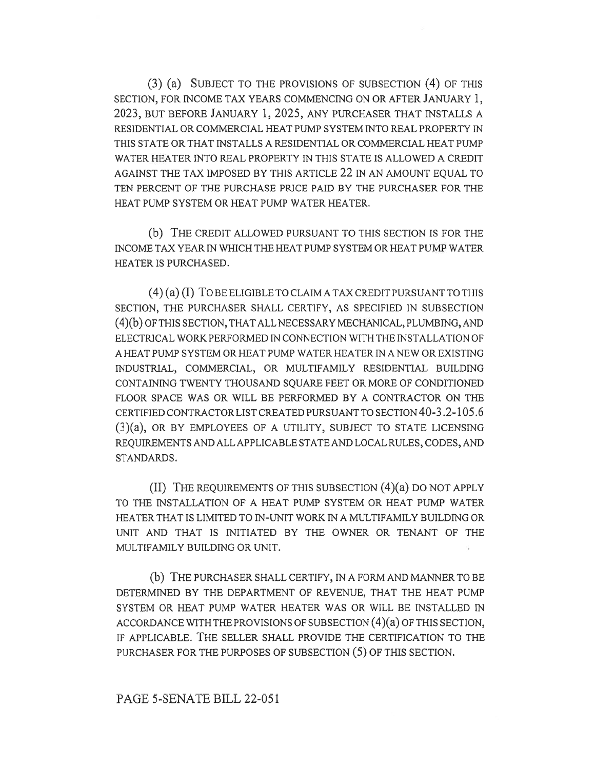(3) (a) SUBJECT TO THE PROVISIONS OF SUBSECTION (4) OF THIS SECTION, FOR INCOME TAX YEARS COMMENCING ON OR AFTER JANUARY 1, 2023, BUT BEFORE JANUARY 1, 2025, ANY PURCHASER THAT INSTALLS A RESIDENTIAL OR COMMERCIAL HEAT PUMP SYSTEM INTO REAL PROPERTY IN THIS STATE OR THAT INSTALLS A RESIDENTIAL OR COMMERCIAL HEAT PUMP WATER HEATER INTO REAL PROPERTY IN THIS STATE IS ALLOWED A CREDIT AGAINST THE TAX IMPOSED BY THIS ARTICLE 22 IN AN AMOUNT EQUAL TO TEN PERCENT OF THE PURCHASE PRICE PAID BY THE PURCHASER FOR THE HEAT PUMP SYSTEM OR HEAT PUMP WATER HEATER.

(b) THE CREDIT ALLOWED PURSUANT TO THIS SECTION IS FOR THE INCOME TAX YEAR IN WHICH THE HEAT PUMP SYSTEM OR HEAT PUMP WATER HEATER IS PURCHASED.

(4) (a) (I) To BE ELIGIBLE TO CLAIM A TAX CREDIT PURSUANT TO THIS SECTION, THE PURCHASER SHALL CERTIFY, AS SPECIFIED IN SUBSECTION (4)(b) OF THIS SECTION, THAT ALL NECESSARY MECHANICAL, PLUMBING, AND ELECTRICAL WORK PERFORMED IN CONNECTION WITH THE INSTALLATION OF A HEAT PUMP SYSTEM OR HEAT PUMP WATER HEATER IN A NEW OR EXISTING INDUSTRIAL, COMMERCIAL, OR MULTIFAMILY RESIDENTIAL BUILDING CONTAINING TWENTY THOUSAND SQUARE FEET OR MORE OF CONDITIONED FLOOR SPACE WAS OR WILL BE PERFORMED BY A CONTRACTOR ON THE CERTIFIED CONTRACTOR LIST CREATED PURSUANT TO SECTION 40-3.2-105.6 (3)(a), OR BY EMPLOYEES OF A UTILITY, SUBJECT TO STATE LICENSING REQUIREMENTS AND ALL APPLICABLE STATE AND LOCAL RULES, CODES, AND STANDARDS.

(II) THE REQUIREMENTS OF THIS SUBSECTION (4)(a) DO NOT APPLY TO THE INSTALLATION OF A HEAT PUMP SYSTEM OR HEAT PUMP WATER HEATER THAT IS LIMITED TO IN-UNIT WORK IN A MULTIFAMILY BUILDING OR UNIT AND THAT IS INITIATED BY THE OWNER OR TENANT OF THE MULTIFAMILY BUILDING OR UNIT.

(b) THE PURCHASER SHALL CERTIFY, IN A FORM AND MANNER TO BE DETERMINED BY THE DEPARTMENT OF REVENUE, THAT THE HEAT PUMP SYSTEM OR HEAT PUMP WATER HEATER WAS OR WILL BE INSTALLED IN ACCORDANCE WITH THE PROVISIONS OF SUBSECTION (4)(a) OF THIS SECTION, IF APPLICABLE. THE SELLER SHALL PROVIDE THE CERTIFICATION TO THE PURCHASER FOR THE PURPOSES OF SUBSECTION (5) OF THIS SECTION.

PAGE 5-SENATE BILL 22-051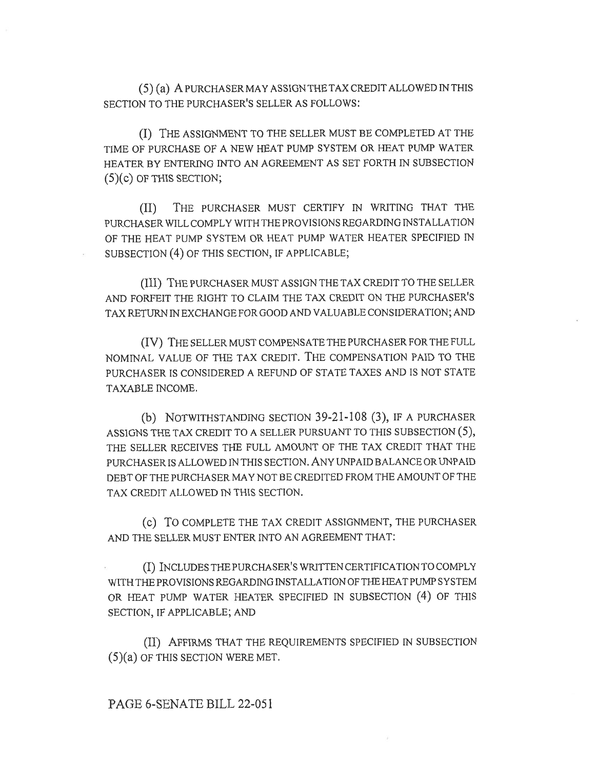(5) (a) A PURCHASER MAY ASSIGN THE TAX CREDIT ALLOWED IN THIS SECTION TO THE PURCHASER'S SELLER AS FOLLOWS:

(I) THE ASSIGNMENT TO THE SELLER MUST BE COMPLETED AT THE TIME OF PURCHASE OF A NEW HEAT PUMP SYSTEM OR HEAT PUMP WATER HEATER BY ENTERING INTO AN AGREEMENT AS SET FORTH IN SUBSECTION (5)(c) OF THIS SECTION;

(II) THE PURCHASER MUST CERTIFY IN WRITING THAT THE PURCHASER WILL COMPLY WITH THE PROVISIONS REGARDING INSTALLATION OF THE HEAT PUMP SYSTEM OR HEAT PUMP WATER HEATER SPECIFIED IN SUBSECTION (4) OF THIS SECTION, IF APPLICABLE;

(III) THE PURCHASER MUST ASSIGN THE TAX CREDIT TO THE SELLER AND FORFEIT THE RIGHT TO CLAIM THE TAX CREDIT ON THE PURCHASER'S TAX RETURN IN EXCHANGE FOR GOOD AND VALUABLE CONSIDERATION; AND

(IV) THE SELLER MUST COMPENSATE THE PURCHASER FOR THE FULL NOMINAL VALUE OF THE TAX CREDIT. THE COMPENSATION PAID TO THE PURCHASER IS CONSIDERED A REFUND OF STATE TAXES AND IS NOT STATE TAXABLE INCOME.

(b) NOTWITHSTANDING SECTION 39-21-108 (3), IF A PURCHASER ASSIGNS THE TAX CREDIT TO A SELLER PURSUANT TO THIS SUBSECTION (5), THE SELLER RECEIVES THE FULL AMOUNT OF THE TAX CREDIT THAT THE PURCHASER IS ALLOWED IN THIS SECTION. ANY UNPAID BALANCE OR UNPAID DEBT OF THE PURCHASER MAY NOT BE CREDITED FROM THE AMOUNT OF THE TAX CREDIT ALLOWED IN THIS SECTION.

(c) To COMPLETE THE TAX CREDIT ASSIGNMENT, THE PURCHASER AND THE SELLER MUST ENTER INTO AN AGREEMENT THAT:

(I) INCLUDES THE PURCHASER'S WRITTEN CERTIFICATION TO COMPLY WITH THE PROVISIONS REGARDING INSTALLATION OF THE HEAT PUMP SYSTEM OR HEAT PUMP WATER HEATER SPECIFIED IN SUBSECTION (4) OF THIS SECTION, IF APPLICABLE; AND

(II) AFFIRMS THAT THE REQUIREMENTS SPECIFIED IN SUBSECTION (5)(a) OF THIS SECTION WERE MET.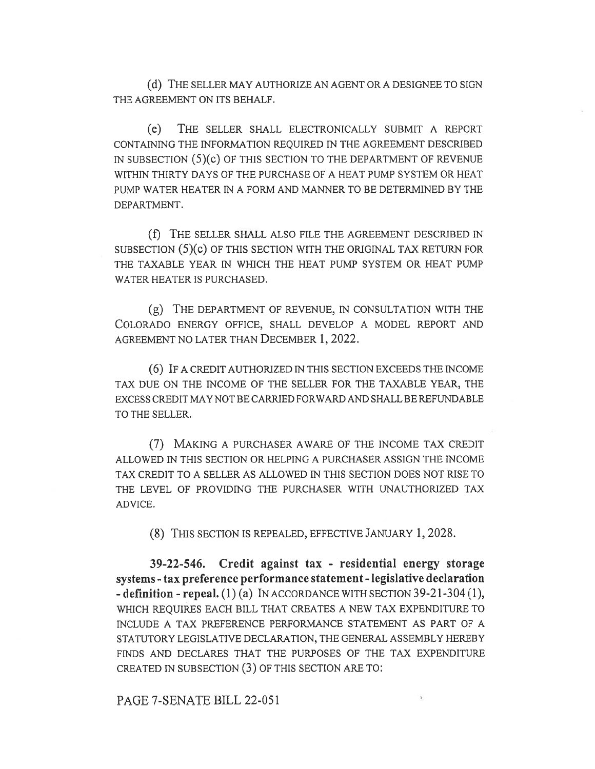(d) THE SELLER MAY AUTHORIZE AN AGENT OR A DESIGNEE TO SIGN THE AGREEMENT ON ITS BEHALF.

(e) THE SELLER SHALL ELECTRONICALLY SUBMIT A REPORT CONTAINING THE INFORMATION REQUIRED IN THE AGREEMENT DESCRIBED IN SUBSECTION (5)(c) OF THIS SECTION TO THE DEPARTMENT OF REVENUE WITHIN THIRTY DAYS OF THE PURCHASE OF A HEAT PUMP SYSTEM OR HEAT PUMP WATER HEATER IN A FORM AND MANNER TO BE DETERMINED BY THE DEPARTMENT.

(f) THE SELLER SHALL ALSO FILE THE AGREEMENT DESCRIBED IN SUBSECTION (5)(c) OF THIS SECTION WITH THE ORIGINAL TAX RETURN FOR THE TAXABLE YEAR IN WHICH THE HEAT PUMP SYSTEM OR HEAT PUMP WATER HEATER IS PURCHASED.

(g) THE DEPARTMENT OF REVENUE, IN CONSULTATION WITH THE COLORADO ENERGY OFFICE, SHALL DEVELOP A MODEL REPORT AND AGREEMENT NO LATER THAN DECEMBER 1, 2022.

(6) IF A CREDIT AUTHORIZED IN THIS SECTION EXCEEDS THE INCOME TAX DUE ON THE INCOME OF THE SELLER FOR THE TAXABLE YEAR, THE EXCESS CREDIT MAY NOT BE CARRIED FORWARD AND SHALL BE REFUNDABLE TO THE SELLER.

(7) MAKING A PURCHASER AWARE OF THE INCOME TAX CREDIT ALLOWED IN THIS SECTION OR HELPING A PURCHASER ASSIGN THE INCOME TAX CREDIT TO A SELLER AS ALLOWED IN THIS SECTION DOES NOT RISE TO THE LEVEL OF PROVIDING THE PURCHASER WITH UNAUTHORIZED TAX ADVICE.

(8) THIS SECTION IS REPEALED, EFFECTIVE JANUARY 1, 2028.

39-22-546. Credit against tax - residential energy storage systems - tax preference performance statement - legislative declaration  $-$  definition  $-$  repeal. (1) (a) IN ACCORDANCE WITH SECTION 39-21-304 (1), WHICH REQUIRES EACH BILL THAT CREATES A NEW TAX EXPENDITURE TO INCLUDE A TAX PREFERENCE PERFORMANCE STATEMENT AS PART OF A STATUTORY LEGISLATIVE DECLARATION, THE GENERAL ASSEMBLY HEREBY FINDS AND DECLARES THAT THE PURPOSES OF THE TAX EXPENDITURE CREATED IN SUBSECTION (3) OF THIS SECTION ARE TO:

PAGE 7-SENATE BILL 22-051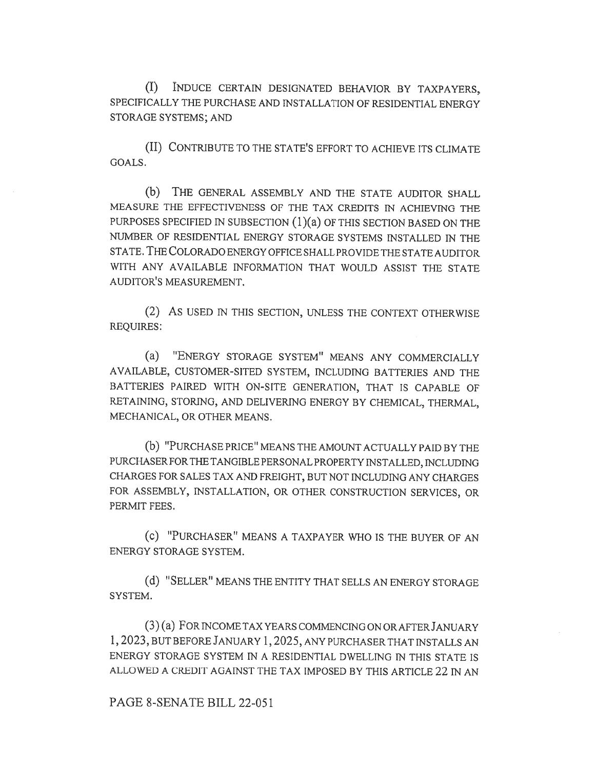(I) INDUCE CERTAIN DESIGNATED BEHAVIOR BY TAXPAYERS, SPECIFICALLY THE PURCHASE AND INSTALLATION OF RESIDENTIAL ENERGY STORAGE SYSTEMS; AND

(II) CONTRIBUTE TO THE STATE'S EFFORT TO ACHIEVE ITS CLIMATE GOALS.

(b) THE GENERAL ASSEMBLY AND THE STATE AUDITOR SHALL MEASURE THE EFFECTIVENESS OF THE TAX CREDITS IN ACHIEVING THE PURPOSES SPECIFIED IN SUBSECTION (1)(a) OF THIS SECTION BASED ON THE NUMBER OF RESIDENTIAL ENERGY STORAGE SYSTEMS INSTALLED IN THE STATE. THE COLORADO ENERGY OFFICE SHALL PROVIDE THE STATE AUDITOR WITH ANY AVAILABLE INFORMATION THAT WOULD ASSIST THE STATE AUDITOR'S MEASUREMENT.

(2) AS USED IN THIS SECTION, UNLESS THE CONTEXT OTHERWISE REQUIRES:

(a) "ENERGY STORAGE SYSTEM" MEANS ANY COMMERCIALLY AVAILABLE, CUSTOMER-SITED SYSTEM, INCLUDING BATTERIES AND THE BATTERIES PAIRED WITH ON-SITE GENERATION, THAT IS CAPABLE OF RETAINING, STORING, AND DELIVERING ENERGY BY CHEMICAL, THERMAL, MECHANICAL, OR OTHER MEANS.

(b) "PURCHASE PRICE" MEANS THE AMOUNT ACTUALLY PAID BY THE PURCHASER FOR THE TANGIBLE PERSONAL PROPERTY INSTALLED, INCLUDING CHARGES FOR SALES TAX AND FREIGHT, BUT NOT INCLUDING ANY CHARGES FOR ASSEMBLY, INSTALLATION, OR OTHER CONSTRUCTION SERVICES, OR PERMIT FEES.

(C) "PURCHASER" MEANS A TAXPAYER WHO IS THE BUYER OF AN ENERGY STORAGE SYSTEM.

(d) "SELLER" MEANS THE ENTITY THAT SELLS AN ENERGY STORAGE SYSTEM.

(3) (a) FOR INCOME TAX YEARS COMMENCING ON OR AFTER JANUARY 1, 2023, BUT BEFORE JANUARY 1,2025, ANY PURCHASER THAT INSTALLS AN ENERGY STORAGE SYSTEM IN A RESIDENTIAL DWELLING IN THIS STATE IS ALLOWED A CREDIT AGAINST THE TAX IMPOSED BY THIS ARTICLE 22 IN AN

#### PAGE 8-SENATE BILL 22-051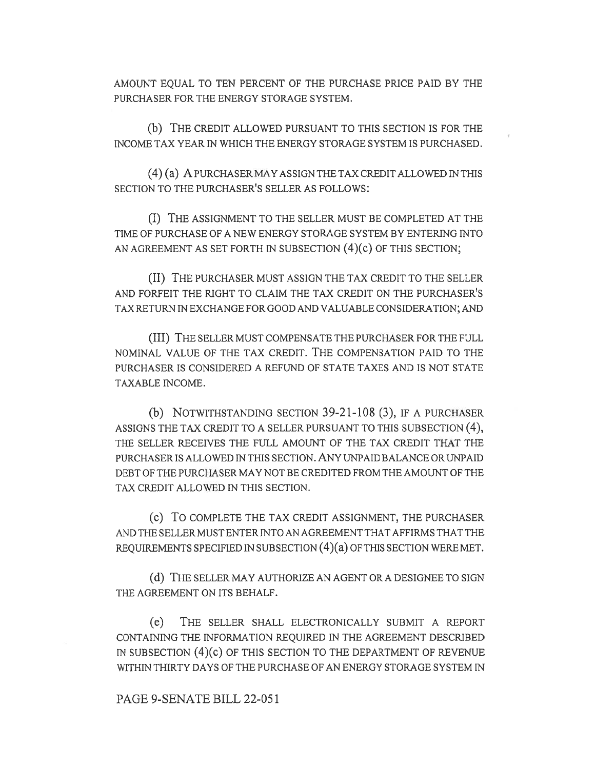AMOUNT EQUAL TO TEN PERCENT OF THE PURCHASE PRICE PAID BY THE PURCHASER FOR THE ENERGY STORAGE SYSTEM.

(b) THE CREDIT ALLOWED PURSUANT TO THIS SECTION IS FOR THE INCOME TAX YEAR IN WHICH THE ENERGY STORAGE SYSTEM IS PURCHASED.

(4) (a) A PURCHASER MAY ASSIGN THE TAX CREDIT ALLOWED IN THIS SECTION TO THE PURCHASER'S SELLER AS FOLLOWS:

(I) THE ASSIGNMENT TO THE SELLER MUST BE COMPLETED AT THE TIME OF PURCHASE OF A NEW ENERGY STORAGE SYSTEM BY ENTERING INTO AN AGREEMENT AS SET FORTH IN SUBSECTION (4)(c) OF THIS SECTION;

(II) THE PURCHASER MUST ASSIGN THE TAX CREDIT TO THE SELLER AND FORFEIT THE RIGHT TO CLAIM THE TAX CREDIT ON THE PURCHASER'S TAX RETURN IN EXCHANGE FOR GOOD AND VALUABLE CONSIDERATION; AND

(III) THE SELLER MUST COMPENSATE THE PURCHASER FOR THE FULL NOMINAL VALUE OF THE TAX CREDIT. THE COMPENSATION PAID TO THE PURCHASER IS CONSIDERED A REFUND OF STATE TAXES AND IS NOT STATE TAXABLE INCOME.

(b) NOTWITHSTANDING SECTION 39-21-108 (3), IF A PURCHASER ASSIGNS THE TAX CREDIT TO A SELLER PURSUANT TO THIS SUBSECTION (4), THE SELLER RECEIVES THE FULL AMOUNT OF THE TAX CREDIT THAT THE PURCHASER IS ALLOWED IN THIS SECTION. ANY UNPAID BALANCE OR UNPAID DEBT OF THE PURCHASER MAY NOT BE CREDITED FROM THE AMOUNT OF THE TAX CREDIT ALLOWED IN THIS SECTION.

(c) To COMPLETE THE TAX CREDIT ASSIGNMENT, THE PURCHASER AND THE SELLER MUST ENTER INTO AN AGREEMENT THAT AFFIRMS THAT THE REQUIREMENTS SPECIFIED IN SUBSECTION (4)(a) OF THIS SECTION WERE MET.

(d) THE SELLER MAY AUTHORIZE AN AGENT OR A DESIGNEE TO SIGN THE AGREEMENT ON ITS BEHALF.

(e) THE SELLER SHALL ELECTRONICALLY SUBMIT A REPORT CONTAINING THE INFORMATION REQUIRED IN THE AGREEMENT DESCRIBED IN SUBSECTION (4)(c) OF THIS SECTION TO THE DEPARTMENT OF REVENUE WITHIN THIRTY DAYS OF THE PURCHASE OF AN ENERGY STORAGE SYSTEM IN

### PAGE 9-SENATE BILL 22-051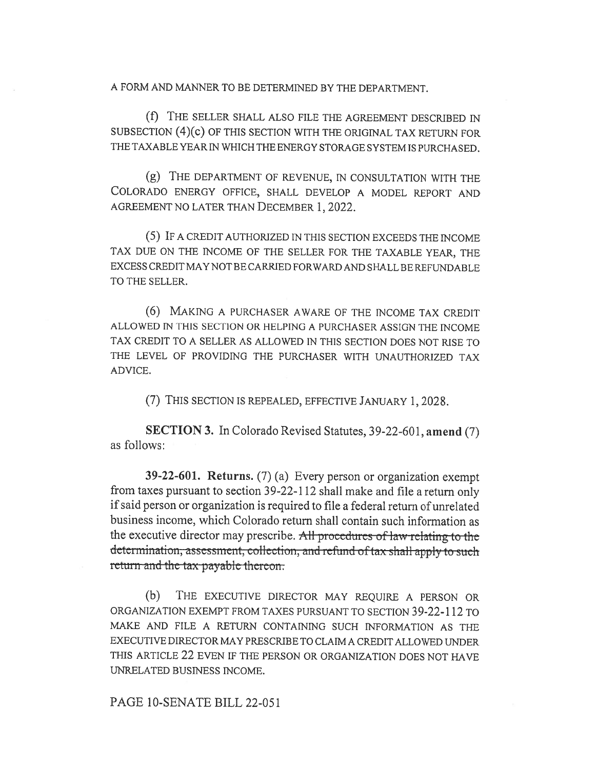A FORM AND MANNER TO BE DETERMINED BY THE DEPARTMENT.

(f) THE SELLER SHALL ALSO FILE THE AGREEMENT DESCRIBED IN SUBSECTION (4)(c) OF THIS SECTION WITH THE ORIGINAL TAX RETURN FOR THE TAXABLE YEAR IN WHICH THE ENERGY STORAGE SYSTEM IS PURCHASED.

(g) THE DEPARTMENT OF REVENUE, IN CONSULTATION WITH THE COLORADO ENERGY OFFICE, SHALL DEVELOP A MODEL REPORT AND AGREEMENT NO LATER THAN DECEMBER 1, 2022.

(5) IF A CREDIT AUTHORIZED IN THIS SECTION EXCEEDS THE INCOME TAX DUE ON THE INCOME OF THE SELLER FOR THE TAXABLE YEAR, THE EXCESS CREDIT MAY NOT BE CARRIED FORWARD AND SHALL BE REFUNDABLE TO THE SELLER.

(6) MAKING A PURCHASER AWARE OF THE INCOME TAX CREDIT ALLOWED IN THIS SECTION OR HELPING A PURCHASER ASSIGN THE INCOME TAX CREDIT TO A SELLER AS ALLOWED IN THIS SECTION DOES NOT RISE TO THE LEVEL OF PROVIDING THE PURCHASER WITH UNAUTHORIZED TAX ADVICE.

(7) THIS SECTION IS REPEALED, EFFECTIVE JANUARY 1, 2028.

SECTION 3. In Colorado Revised Statutes, 39-22-601, amend (7) as follows:

39-22-601. Returns. (7) (a) Every person or organization exempt from taxes pursuant to section 39-22-112 shall make and file a return only if said person or organization is required to file a federal return of unrelated business income, which Colorado return shall contain such information as the executive director may prescribe. All procedures of law relating to the determination, assessment, collection, and refund of tax shall apply to such return and the tax payable thereon.

(b) THE EXECUTIVE DIRECTOR MAY REQUIRE A PERSON OR ORGANIZATION EXEMPT FROM TAXES PURSUANT TO SECTION 39-22-112 TO MAKE AND FILE A RETURN CONTAINING SUCH INFORMATION AS THE EXECUTIVE DIRECTOR MAY PRESCRIBE TO CLAIM A CREDIT ALLOWED UNDER THIS ARTICLE 22 EVEN IF THE PERSON OR ORGANIZATION DOES NOT HAVE UNRELATED BUSINESS INCOME.

PAGE 10-SENATE BILL 22-051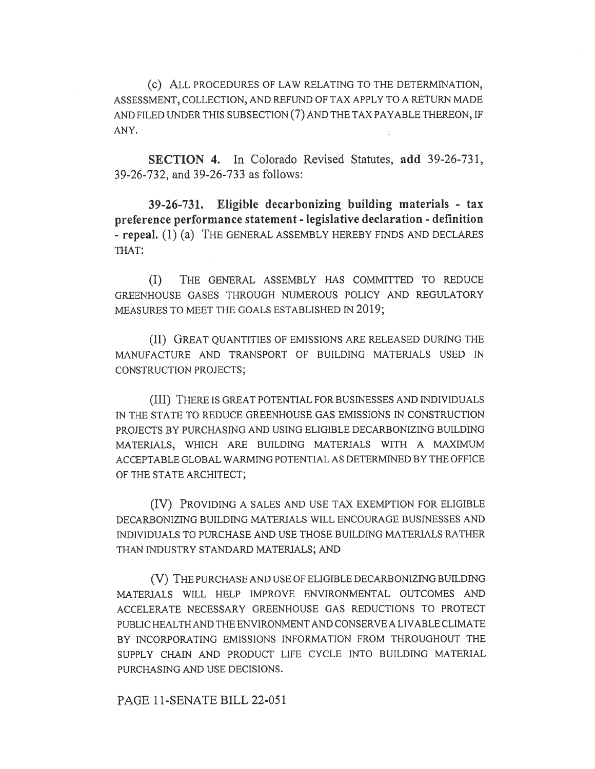(c) ALL PROCEDURES OF LAW RELATING TO THE DETERMINATION, ASSESSMENT, COLLECTION, AND REFUND OF TAX APPLY TO A RETURN MADE AND FILED UNDER THIS SUBSECTION (7) AND THE TAX PAYABLE THEREON, IF ANY.

SECTION 4. In Colorado Revised Statutes, add 39-26-731, 39-26-732, and 39-26-733 as follows:

39-26-731. Eligible decarbonizing building materials - tax preference performance statement - legislative declaration - definition - repeal. (1) (a) THE GENERAL ASSEMBLY HEREBY FINDS AND DECLARES THAT:

(I) THE GENERAL ASSEMBLY HAS COMMITTED TO REDUCE GREENHOUSE GASES THROUGH NUMEROUS POLICY AND REGULATORY MEASURES TO MEET THE GOALS ESTABLISHED IN 2019;

(II) GREAT QUANTITIES OF EMISSIONS ARE RELEASED DURING THE MANUFACTURE AND TRANSPORT OF BUILDING MATERIALS USED IN CONSTRUCTION PROJECTS;

(III) THERE IS GREAT POTENTIAL FOR BUSINESSES AND INDIVIDUALS IN THE STATE TO REDUCE GREENHOUSE GAS EMISSIONS IN CONSTRUCTION PROJECTS BY PURCHASING AND USING ELIGIBLE DECARBONIZING BUILDING MATERIALS, WHICH ARE BUILDING MATERIALS WITH A MAXIMUM ACCEPTABLE GLOBAL WARMING POTENTIAL AS DETERMINED BY THE OFFICE OF THE STATE ARCHITECT;

(IV) PROVIDING A SALES AND USE TAX EXEMPTION FOR ELIGIBLE DECARBONIZING BUILDING MATERIALS WILL ENCOURAGE BUSINESSES AND INDIVIDUALS TO PURCHASE AND USE THOSE BUILDING MATERIALS RATHER THAN INDUSTRY STANDARD MATERIALS; AND

(V) THE PURCHASE AND USE OF ELIGIBLE DECARBONIZING BUILDING MATERIALS WILL HELP IMPROVE ENVIRONMENTAL OUTCOMES AND ACCELERATE NECESSARY GREENHOUSE GAS REDUCTIONS TO PROTECT PUBLIC HEALTH AND THE ENVIRONMENT AND CONSERVE A LIVABLE CLIMATE BY INCORPORATING EMISSIONS INFORMATION FROM THROUGHOUT THE SUPPLY CHAIN AND PRODUCT LIFE CYCLE INTO BUILDING MATERIAL PURCHASING AND USE DECISIONS.

PAGE 11-SENATE BILL 22-051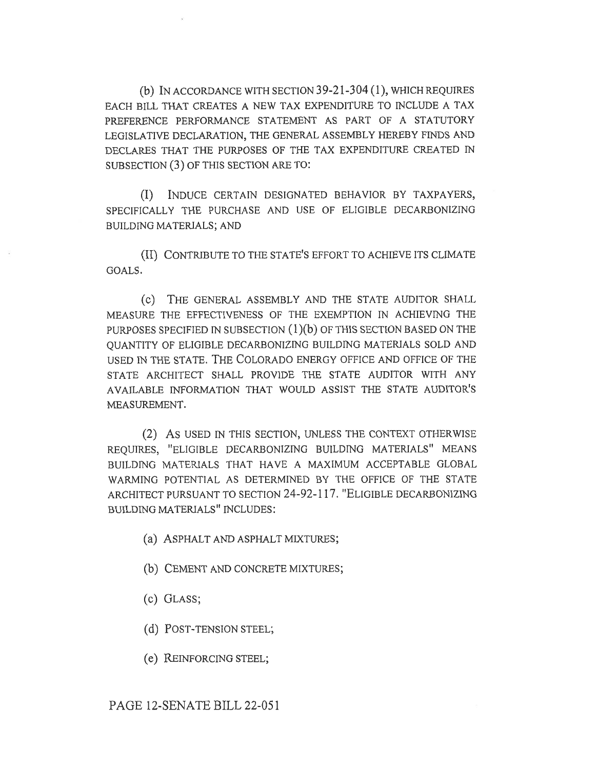(b) IN ACCORDANCE WITH SECTION 39-21-304 (1), WHICH REQUIRES EACH BILL THAT CREATES A NEW TAX EXPENDITURE TO INCLUDE A TAX PREFERENCE PERFORMANCE STATEMENT AS PART OF A STATUTORY LEGISLATIVE DECLARATION, THE GENERAL ASSEMBLY HEREBY FINDS AND DECLARES THAT THE PURPOSES OF THE TAX EXPENDITURE CREATED IN SUBSECTION (3) OF THIS SECTION ARE TO:

(I) INDUCE CERTAIN DESIGNATED BEHAVIOR BY TAXPAYERS, SPECIFICALLY THE PURCHASE AND USE OF ELIGIBLE DECARBONIZING BUILDING MATERIALS; AND

(II) CONTRIBUTE TO THE STATE'S EFFORT TO ACHIEVE ITS CLIMATE GOALS.

(c) THE GENERAL ASSEMBLY AND THE STATE AUDITOR SHALL MEASURE THE EFFECTIVENESS OF THE EXEMPTION IN ACHIEVING THE PURPOSES SPECIFIED IN SUBSECTION  $(1)(b)$  OF THIS SECTION BASED ON THE QUANTITY OF ELIGIBLE DECARBONIZING BUILDING MATERIALS SOLD AND USED IN THE STATE. THE COLORADO ENERGY OFFICE AND OFFICE OF THE STATE ARCHITECT SHALL PROVIDE THE STATE AUDITOR WITH ANY AVAILABLE INFORMATION THAT WOULD ASSIST THE STATE AUDITOR'S MEASUREMENT.

(2) AS USED IN THIS SECTION, UNLESS THE CONTEXT OTHERWISE REQUIRES, "ELIGIBLE DECARBONIZING BUILDING MATERIALS" MEANS BUILDING MATERIALS THAT HAVE A MAXIMUM ACCEPTABLE GLOBAL WARMING POTENTIAL AS DETERMINED BY THE OFFICE OF THE STATE ARCHITECT PURSUANT TO SECTION 24-92-117. "ELIGIBLE DECARBONIZING BUILDING MATERIALS" INCLUDES:

- (a) ASPHALT AND ASPHALT MIXTURES;
- (b) CEMENT AND CONCRETE MIXTURES;
- (c) GLASS;
- (d) POST-TENSION STEEL;
- (e) REINFORCING STEEL;

# PAGE 12-SENATE BILL 22-051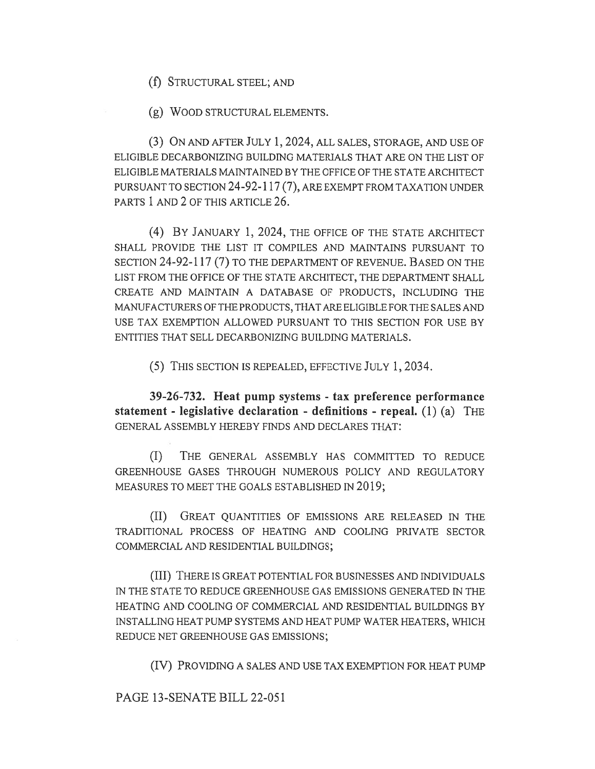(f) STRUCTURAL STEEL; AND

(g) WOOD STRUCTURAL ELEMENTS.

(3) ON AND AFTER JULY 1, 2024, ALL SALES, STORAGE, AND USE OF ELIGIBLE DECARBONIZING BUILDING MATERIALS THAT ARE ON THE LIST OF ELIGIBLE MATERIALS MAINTAINED BY THE OFFICE OF THE STATE ARCHITECT PURSUANT TO SECTION 24-92-117 (7), ARE EXEMPT FROM TAXATION UNDER PARTS 1 AND 2 OF THIS ARTICLE 26.

(4) BY JANUARY 1, 2024, THE OFFICE OF THE STATE ARCHITECT SHALL PROVIDE THE LIST IT COMPILES AND MAINTAINS PURSUANT TO SECTION 24-92-117 (7) TO THE DEPARTMENT OF REVENUE. BASED ON THE LIST FROM THE OFFICE OF THE STATE ARCHITECT, THE DEPARTMENT SHALL CREATE AND MAINTAIN A DATABASE OF PRODUCTS, INCLUDING THE MANUFACTURERS OF THE PRODUCTS, THAT ARE ELIGIBLE FOR THE SALES AND USE TAX EXEMPTION ALLOWED PURSUANT TO THIS SECTION FOR USE BY ENTITIES THAT SELL DECARBONIZING BUILDING MATERIALS.

(5) THIS SECTION IS REPEALED, EFFECTIVE JULY 1, 2034.

39-26-732. Heat pump systems - tax preference performance statement - legislative declaration - definitions - repeal. (1) (a) THE GENERAL ASSEMBLY HEREBY FINDS AND DECLARES THAT:

(I) THE GENERAL ASSEMBLY HAS COMMITTED TO REDUCE GREENHOUSE GASES THROUGH NUMEROUS POLICY AND REGULATORY MEASURES TO MEET THE GOALS ESTABLISHED IN 2019;

(II) GREAT QUANTITIES OF EMISSIONS ARE RELEASED IN THE TRADITIONAL PROCESS OF HEATING AND COOLING PRIVATE SECTOR COMMERCIAL AND RESIDENTIAL BUILDINGS;

(III) THERE IS GREAT POTENTIAL FOR BUSINESSES AND INDIVIDUALS IN THE STATE TO REDUCE GREENHOUSE GAS EMISSIONS GENERATED IN THE HEATING AND COOLING OF COMMERCIAL AND RESIDENTIAL BUILDINGS BY INSTALLING HEAT PUMP SYSTEMS AND HEAT PUMP WATER HEATERS, WHICH REDUCE NET GREENHOUSE GAS EMISSIONS;

(IV) PROVIDING A SALES AND USE TAX EXEMPTION FOR HEAT PUMP

PAGE 13-SENATE BILL 22-051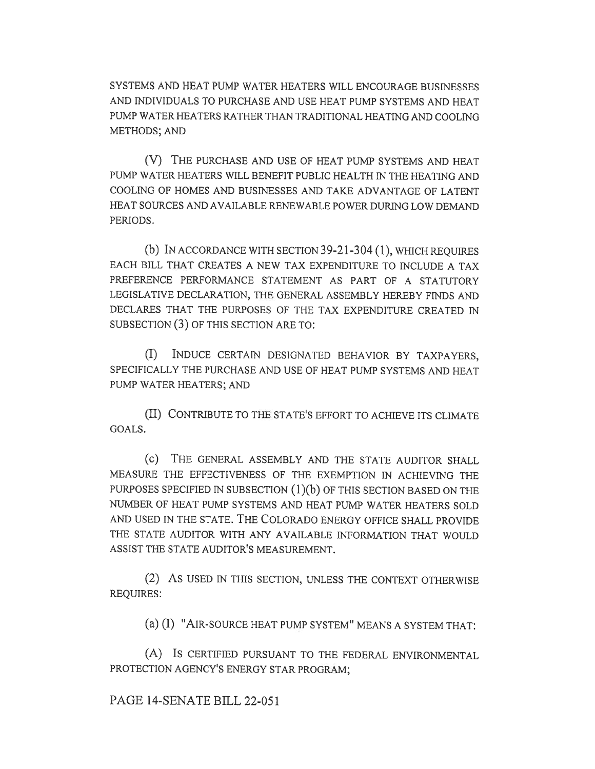SYSTEMS AND HEAT PUMP WATER HEATERS WILL ENCOURAGE BUSINESSES AND INDIVIDUALS TO PURCHASE AND USE HEAT PUMP SYSTEMS AND HEAT PUMP WATER HEATERS RATHER THAN TRADITIONAL HEATING AND COOLING METHODS; AND

(V) THE PURCHASE AND USE OF HEAT PUMP SYSTEMS AND HEAT PUMP WATER HEATERS WILL BENEFIT PUBLIC HEALTH IN THE HEATING AND COOLING OF HOMES AND BUSINESSES AND TAKE ADVANTAGE OF LATENT HEAT SOURCES AND AVAILABLE RENEWABLE POWER DURING LOW DEMAND PERIODS.

(b) IN ACCORDANCE WITH SECTION 39-21-304 (1), WHICH REQUIRES EACH BILL THAT CREATES A NEW TAX EXPENDITURE TO INCLUDE A TAX PREFERENCE PERFORMANCE STATEMENT AS PART OF A STATUTORY LEGISLATIVE DECLARATION, THE GENERAL ASSEMBLY HEREBY FINDS AND DECLARES THAT THE PURPOSES OF THE TAX EXPENDITURE CREATED IN SUBSECTION (3) OF THIS SECTION ARE TO:

(I) INDUCE CERTAIN DESIGNATED BEHAVIOR BY TAXPAYERS, SPECIFICALLY THE PURCHASE AND USE OF HEAT PUMP SYSTEMS AND HEAT PUMP WATER HEATERS; AND

(II) CONTRIBUTE TO THE STATE'S EFFORT TO ACHIEVE ITS CLIMATE GOALS.

(c) THE GENERAL ASSEMBLY AND THE STATE AUDITOR SMALL MEASURE THE EFFECTIVENESS OF THE EXEMPTION IN ACHIEVING THE PURPOSES SPECIFIED IN SUBSECTION (1)(b) OF THIS SECTION BASED ON THE NUMBER OF HEAT PUMP SYSTEMS AND HEAT PUMP WATER HEATERS SOLD AND USED IN THE STATE. THE COLORADO ENERGY OFFICE SHALL PROVIDE THE STATE AUDITOR WITH ANY AVAILABLE INFORMATION THAT WOULD ASSIST THE STATE AUDITOR'S MEASUREMENT.

(2) AS USED IN THIS SECTION, UNLESS THE CONTEXT OTHERWISE REQUIRES:

(a) (I) "AIR-SOURCE HEAT PUMP SYSTEM" MEANS A SYSTEM THAT:

(A) IS CERTIFIED PURSUANT TO THE FEDERAL ENVIRONMENTAL PROTECTION AGENCY'S ENERGY STAR PROGRAM;

PAGE 14-SENATE BILL 22-051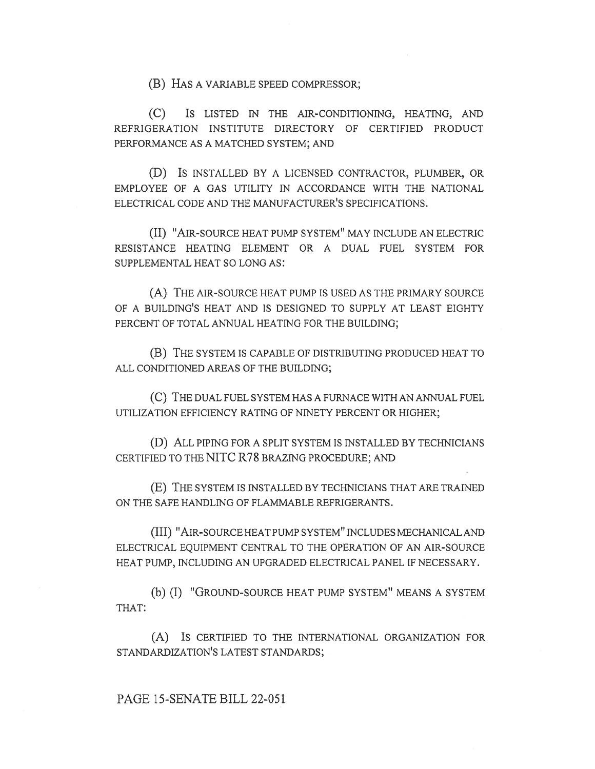(B) HAS A VARIABLE SPEED COMPRESSOR;

(C) IS LISTED IN THE AIR-CONDITIONING, HEATING, AND REFRIGERATION INSTITUTE DIRECTORY OF CERTIFIED PRODUCT PERFORMANCE AS A MATCHED SYSTEM; AND

(D) IS INSTALLED BY A LICENSED CONTRACTOR, PLUMBER, OR EMPLOYEE OF A GAS UTILITY IN ACCORDANCE WITH THE NATIONAL ELECTRICAL CODE AND THE MANUFACTURER'S SPECIFICATIONS.

(II) "AIR-SOURCE HEAT PUMP SYSTEM" MAY INCLUDE AN ELECTRIC RESISTANCE HEATING ELEMENT OR A DUAL FUEL SYSTEM FOR SUPPLEMENTAL HEAT SO LONG AS:

(A) THE AIR-SOURCE HEAT PUMP IS USED AS THE PRIMARY SOURCE OF A BUILDING'S HEAT AND IS DESIGNED TO SUPPLY AT LEAST EIGHTY PERCENT OF TOTAL ANNUAL HEATING FOR THE BUILDING;

(B) THE SYSTEM IS CAPABLE OF DISTRIBUTING PRODUCED HEAT TO ALL CONDITIONED AREAS OF THE BUILDING;

(C) THE DUAL FUEL SYSTEM HAS A FURNACE WITH AN ANNUAL FUEL UTILIZATION EFFICIENCY RATING OF NINETY PERCENT OR HIGHER;

(D) ALL PIPING FOR A SPLIT SYSTEM IS INSTALLED BY TECHNICIANS CERTIFIED TO THE NITC R78 BRAZING PROCEDURE; AND

(E) THE SYSTEM IS INSTALLED BY TECHNICIANS THAT ARE TRAINED ON THE SAFE HANDLING OF FLAMMABLE REFRIGERANTS.

(III) "AIR-SOURCE HEAT PUMP SYSTEM" INCLUDES MECHANICAL AND ELECTRICAL EQUIPMENT CENTRAL TO THE OPERATION OF AN AIR-SOURCE HEAT PUMP, INCLUDING AN UPGRADED ELECTRICAL PANEL IF NECESSARY.

(b) (I) "GROUND-SOURCE HEAT PUMP SYSTEM" MEANS A SYSTEM THAT:

(A) IS CERTIFIED TO THE INTERNATIONAL ORGANIZATION FOR STANDARDIZATION'S LATEST STANDARDS;

PAGE 15-SENATE BILL 22-051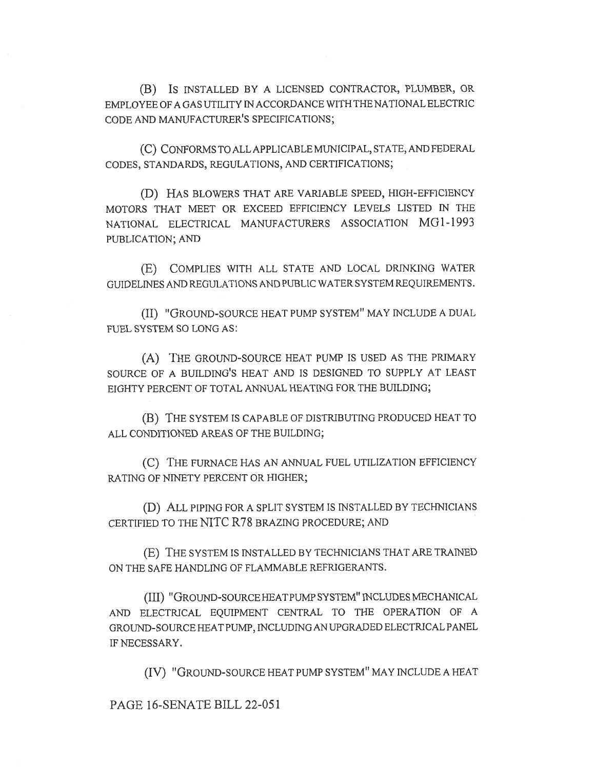(B) IS INSTALLED BY A LICENSED CONTRACTOR, PLUMBER, OR EMPLOYEE OF A GAS UTILITY IN ACCORDANCE WITH THE NATIONAL ELECTRIC CODE AND MANUFACTURER'S SPECIFICATIONS;

(C) CONFORMS TO ALL APPLICABLE MUNICIPAL, STATE, AND FEDERAL CODES, STANDARDS, REGULATIONS, AND CERTIFICATIONS;

(D) HAS BLOWERS THAT ARE VARIABLE SPEED, HIGH-EFFICIENCY MOTORS THAT MEET OR EXCEED EFFICIENCY LEVELS LISTED IN THE NATIONAL ELECTRICAL MANUFACTURERS ASSOCIATION MG1-1993 PUBLICATION; AND

(E) COMPLIES WITH ALL STATE AND LOCAL DRINKING WATER GUIDELINES AND REGULATIONS AND PUBLIC WATER SYSTEM REQUIREMENTS.

(II) "GROUND-SOURCE HEAT PUMP SYSTEM" MAY INCLUDE A DUAL FUEL SYSTEM SO LONG AS:

(A) THE GROUND-SOURCE HEAT PUMP IS USED AS THE PRIMARY SOURCE OF A BUILDING'S HEAT AND IS DESIGNED TO SUPPLY AT LEAST EIGHTY PERCENT OF TOTAL ANNUAL HEATING FOR THE BUILDING;

(B) THE SYSTEM IS CAPABLE OF DISTRIBUTING PRODUCED HEAT TO ALL CONDITIONED AREAS OF THE BUILDING;

(C) THE FURNACE HAS AN ANNUAL FUEL UTILIZATION EFFICIENCY RATING OF NINETY PERCENT OR HIGHER;

(D) ALL PIPING FOR A SPLIT SYSTEM IS INSTALLED BY TECHNICIANS CERTIFIED TO THE NITC R78 BRAZING PROCEDURE; AND

(E) THE SYSTEM IS INSTALLED BY TECHNICIANS THAT ARE TRAINED ON THE SAFE HANDLING OF FLAMMABLE REFRIGERANTS.

(III) "GROUND-SOURCE HEAT PUMP SYSTEM" INCLUDES MECHANICAL AND ELECTRICAL EQUIPMENT CENTRAL TO THE OPERATION OF A GROUND-SOURCE HEAT PUMP, INCLUDING AN UPGRADED ELECTRICAL PANEL IF NECESSARY.

(IV) "GROUND-SOURCE HEAT PUMP SYSTEM" MAY INCLUDE A HEAT

PAGE 16-SENATE BILL 22-051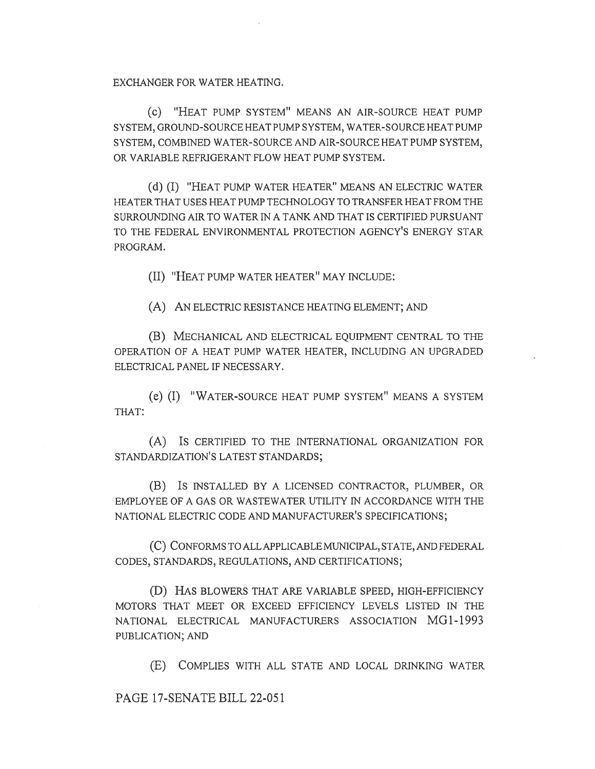EXCHANGER FOR WATER HEATING.

(C) "HEAT PUMP SYSTEM" MEANS AN AIR-SOURCE HEAT PUMP SYSTEM, GROUND-SOURCE HEAT PUMP SYSTEM, WATER-SOURCE HEAT PUMP SYSTEM, COMBINED WATER-SOURCE AND AIR-SOURCE HEAT PUMP SYSTEM, OR VARIABLE REFRIGERANT FLOW HEAT PUMP SYSTEM.

(d) (I) "HEAT PUMP WATER HEATER" MEANS AN ELECTRIC WATER HEATER THAT USES HEAT PUMP TECHNOLOGY TO TRANSFER HEAT FROM THE SURROUNDING AIR TO WATER IN A TANK AND THAT IS CERTIFIED PURSUANT TO THE FEDERAL ENVIRONMENTAL PROTECTION AGENCY'S ENERGY STAR PROGRAM.

(II) "HEAT PUMP WATER HEATER" MAY INCLUDE:

(A) AN ELECTRIC RESISTANCE HEATING ELEMENT; AND

(B) MECHANICAL AND ELECTRICAL EQUIPMENT CENTRAL TO THE OPERATION OF A HEAT PUMP WATER HEATER, INCLUDING AN UPGRADED ELECTRICAL PANEL IF NECESSARY.

(e) (I) "WATER-SOURCE HEAT PUMP SYSTEM" MEANS A SYSTEM THAT:

(A) IS CERTIFIED TO THE INTERNATIONAL ORGANIZATION FOR STANDARDIZATION'S LATEST STANDARDS;

(B) IS INSTALLED BY A LICENSED CONTRACTOR, PLUMBER, OR EMPLOYEE OF A GAS OR WASTEWATER UTILITY IN ACCORDANCE WITH THE NATIONAL ELECTRIC CODE AND MANUFACTURER'S SPECIFICATIONS;

(C) CONFORMS TO ALL APPLICABLE MUNICIPAL, STATE, AND FEDERAL CODES, STANDARDS, REGULATIONS, AND CERTIFICATIONS;

(D) HAS BLOWERS THAT ARE VARIABLE SPEED, HIGH-EFFICIENCY MOTORS THAT MEET OR EXCEED EFFICIENCY LEVELS LISTED IN THE NATIONAL ELECTRICAL MANUFACTURERS ASSOCIATION MG1-1993 PUBLICATION; AND

(E) COMPLIES WITH ALL STATE AND LOCAL DRINKING WATER

PAGE 17-SENATE BILL 22-051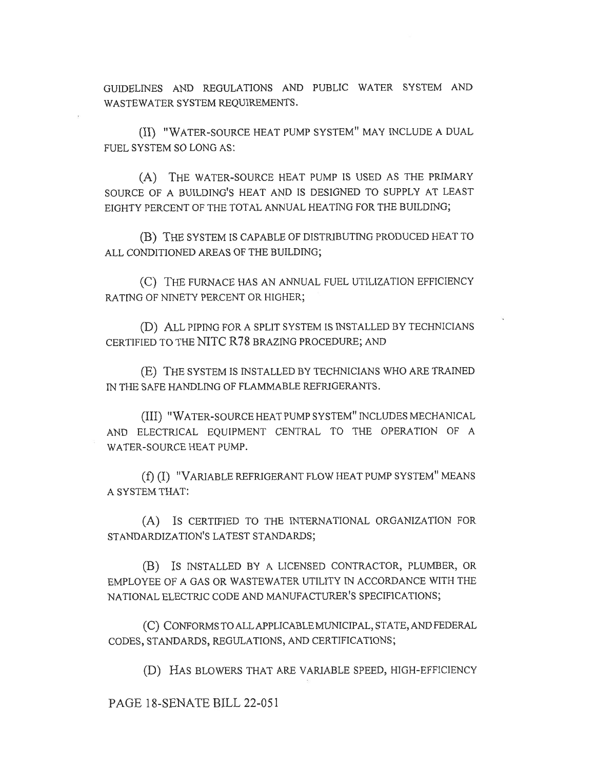GUIDELINES AND REGULATIONS AND PUBLIC WATER SYSTEM AND WASTEWATER SYSTEM REQUIREMENTS.

(II) "WATER-SOURCE HEAT PUMP SYSTEM" MAY INCLUDE A DUAL FUEL SYSTEM SO LONG AS:

(A) THE WATER-SOURCE HEAT PUMP IS USED AS THE PRIMARY SOURCE OF A BUILDING'S HEAT AND IS DESIGNED TO SUPPLY AT LEAST EIGHTY PERCENT OF THE TOTAL ANNUAL HEATING FOR THE BUILDING;

(B) THE SYSTEM IS CAPABLE OF DISTRIBUTING PRODUCED HEAT TO ALL CONDITIONED AREAS OF THE BUILDING;

(C) THE FURNACE HAS AN ANNUAL FUEL UTILIZATION EFFICIENCY RATING OF NINETY PERCENT OR HIGHER;

(D) ALL PIPING FOR A SPLIT SYSTEM IS INSTALLED BY TECHNICIANS CERTIFIED TO THE NITC R78 BRAZING PROCEDURE; AND

(E) THE SYSTEM IS INSTALLED BY TECHNICIANS WHO ARE TRAINED IN THE SAFE HANDLING OF FLAMMABLE REFRIGERANTS.

(III) "WATER-SOURCE HEAT PUMP SYSTEM" INCLUDES MECHANICAL AND ELECTRICAL EQUIPMENT CENTRAL TO THE OPERATION OF A WATER-SOURCE HEAT PUMP.

(f) (I) "VARIABLE REFRIGERANT FLOW HEAT PUMP SYSTEM" MEANS A SYSTEM THAT:

(A) IS CERTIFIED TO THE INTERNATIONAL ORGANIZATION FOR STANDARDIZATION'S LATEST STANDARDS;

(B) IS INSTALLED BY A LICENSED CONTRACTOR, PLUMBER, OR EMPLOYEE OF A GAS OR WASTEWATER UTILITY IN ACCORDANCE WITH THE NATIONAL ELECTRIC CODE AND MANUFACTURER'S SPECIFICATIONS;

(C) CONFORMS TO ALL APPLICABLE MUNICIPAL, STATE, AND FEDERAL CODES, STANDARDS, REGULATIONS, AND CERTIFICATIONS;

(D) HAS BLOWERS THAT ARE VARIABLE SPEED, HIGH-EFFICIENCY

PAGE 18-SENATE BILL 22-051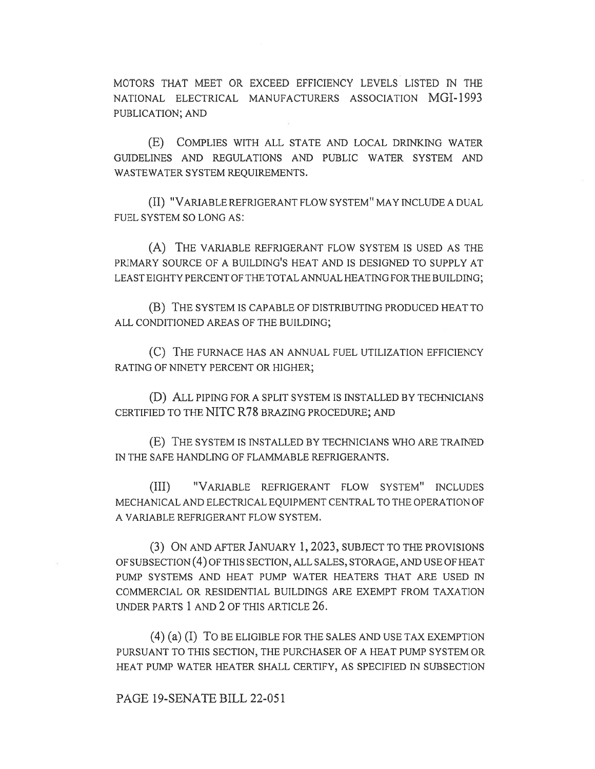MOTORS THAT MEET OR EXCEED EFFICIENCY LEVELS LISTED IN THE NATIONAL ELECTRICAL MANUFACTURERS ASSOCIATION MGI-1993 PUBLICATION; AND

(E) COMPLIES WITH ALL STATE AND LOCAL DRINKING WATER GUIDELINES AND REGULATIONS AND PUBLIC WATER SYSTEM AND WASTEWATER SYSTEM REQUIREMENTS.

(II) "VARIABLE REFRIGERANT FLOW SYSTEM" MAY INCLUDE A DUAL FUEL SYSTEM SO LONG AS:

(A) THE VARIABLE REFRIGERANT FLOW SYSTEM IS USED AS THE PRIMARY SOURCE OF A BUILDING'S HEAT AND IS DESIGNED TO SUPPLY AT LEAST EIGHTY PERCENT OF THE TOTAL ANNUAL HEATING FOR THE BUILDING;

(B) THE SYSTEM IS CAPABLE OF DISTRIBUTING PRODUCED HEAT TO ALL CONDITIONED AREAS OF THE BUILDING;

(C) THE FURNACE HAS AN ANNUAL FUEL UTILIZATION EFFICIENCY RATING OF NINETY PERCENT OR HIGHER;

(D) ALL PIPING FOR A SPLIT SYSTEM IS INSTALLED BY TECHNICIANS CERTIFIED TO THE NITC R78 BRAZING PROCEDURE; AND

(E) THE SYSTEM IS INSTALLED BY TECHNICIANS WHO ARE TRAINED IN THE SAFE HANDLING OF FLAMMABLE REFRIGERANTS.

(III) "VARIABLE REFRIGERANT FLOW SYSTEM" INCLUDES MECHANICAL AND ELECTRICAL EQUIPMENT CENTRAL TO THE OPERATION OF A VARIABLE REFRIGERANT FLOW SYSTEM.

(3) ON AND AFTER JANUARY 1, 2023, SUBJECT TO THE PROVISIONS OF SUBSECTION (4) OF THIS SECTION, ALL SALES, STORAGE, AND USE OF HEAT PUMP SYSTEMS AND HEAT PUMP WATER HEATERS THAT ARE USED IN COMMERCIAL OR RESIDENTIAL BUILDINGS ARE EXEMPT FROM TAXATION UNDER PARTS 1 AND 2 OF THIS ARTICLE 26.

(4) (a) (I) To BE ELIGIBLE FOR THE SALES AND USE TAX EXEMPTION PURSUANT TO THIS SECTION, THE PURCHASER OF A HEAT PUMP SYSTEM OR HEAT PUMP WATER HEATER SHALL CERTIFY, AS SPECIFIED IN SUBSECTION

PAGE 19-SENATE BILL 22-051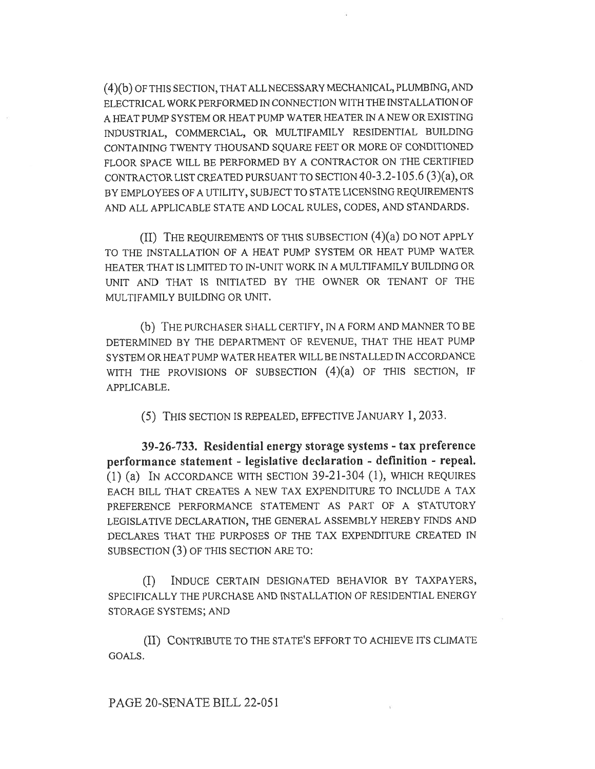(4)(b) OF THIS SECTION, THAT ALL NECESSARY MECHANICAL, PLUMBING, AND ELECTRICAL WORK PERFORMED IN CONNECTION WITH THE INSTALLATION OF A HEAT PUMP SYSTEM OR HEAT PUMP WATER HEATER IN A NEW OR EXISTING INDUSTRIAL, COMMERCIAL, OR MULTIFAMILY RESIDENTIAL BUILDING CONTAINING TWENTY THOUSAND SQUARE FEET OR MORE OF CONDITIONED FLOOR SPACE WILL BE PERFORMED BY A CONTRACTOR ON THE CERTIFIED CONTRACTOR LIST CREATED PURSUANT TO SECTION 40-3.2-105.6 (3)(a), OR BY EMPLOYEES OF A UTILITY, SUBJECT TO STATE LICENSING REQUIREMENTS AND ALL APPLICABLE STATE AND LOCAL RULES, CODES, AND STANDARDS.

(II) THE REQUIREMENTS OF THIS SUBSECTION (4)(a) DO NOT APPLY TO THE INSTALLATION OF A HEAT PUMP SYSTEM OR HEAT PUMP WATER HEATER THAT IS LIMITED TO IN-UNIT WORK IN A MULTIFAMILY BUILDING OR UNIT AND THAT IS INITIATED BY THE OWNER OR TENANT OF THE MULTIFAMILY BUILDING OR UNIT.

(b) THE PURCHASER SHALL CERTIFY, IN A FORM AND MANNER TO BE DETERMINED BY THE DEPARTMENT OF REVENUE, THAT THE HEAT PUMP SYSTEM OR HEAT PUMP WATER HEATER WILL BE INSTALLED IN ACCORDANCE WITH THE PROVISIONS OF SUBSECTION  $(4)(a)$  OF THIS SECTION, IF APPLICABLE.

(5) THIS SECTION IS REPEALED, EFFECTIVE JANUARY 1, 2033.

39-26-733. Residential energy storage systems - tax preference performance statement - legislative declaration - definition - repeal. (1) (a) IN ACCORDANCE WITH SECTION 39-21-304 (1), WHICH REQUIRES EACH BILL THAT CREATES A NEW TAX EXPENDITURE TO INCLUDE A TAX PREFERENCE PERFORMANCE STATEMENT AS PART OF A STATUTORY LEGISLATIVE DECLARATION, THE GENERAL ASSEMBLY HEREBY FINDS AND DECLARES THAT THE PURPOSES OF THE TAX EXPENDITURE CREATED IN SUBSECTION (3) OF THIS SECTION ARE TO:

(I) INDUCE CERTAIN DESIGNATED BEHAVIOR BY TAXPAYERS, SPECIFICALLY THE PURCHASE AND INSTALLATION OF RESIDENTIAL ENERGY STORAGE SYSTEMS; AND

(II) CONTRIBUTE TO THE STATE'S EFFORT TO ACHIEVE ITS CLIMATE GOALS.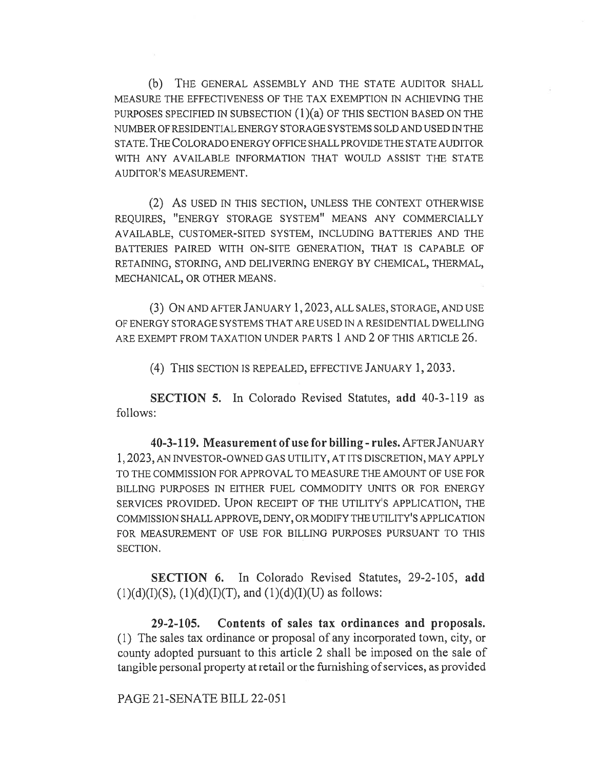(b) THE GENERAL ASSEMBLY AND THE STATE AUDITOR SHALL MEASURE THE EFFECTIVENESS OF THE TAX EXEMPTION IN ACHIEVING THE PURPOSES SPECIFIED IN SUBSECTION (1)(a) OF THIS SECTION BASED ON THE NUMBER OF RESIDENTIAL ENERGY STORAGE SYSTEMS SOLD AND USED IN THE STATE. THE COLORADO ENERGY OFFICE SHALL PROVIDE THE STATE AUDITOR WITH ANY AVAILABLE INFORMATION THAT WOULD ASSIST THE STATE AUDITOR'S MEASUREMENT.

(2) AS USED IN THIS SECTION, UNLESS THE CONTEXT OTHERWISE REQUIRES, "ENERGY STORAGE SYSTEM" MEANS ANY COMMERCIALLY AVAILABLE, CUSTOMER-SITED SYSTEM, INCLUDING BATTERIES AND THE BATTERIES PAIRED WITH ON-SITE GENERATION, THAT IS CAPABLE OF RETAINING, STORING, AND DELIVERING ENERGY BY CHEMICAL, THERMAL, MECHANICAL, OR OTHER MEANS.

(3) ON AND AFTER JANUARY 1, 2023, ALL SALES, STORAGE, AND USE OF ENERGY STORAGE SYSTEMS THAT ARE USED IN A RESIDENTIAL DWELLING ARE EXEMPT FROM TAXATION UNDER PARTS 1 AND 2 OF THIS ARTICLE 26.

(4) THIS SECTION IS REPEALED, EFFECTIVE JANUARY 1, 2033.

SECTION 5. In Colorado Revised Statutes, add 40-3-119 as follows:

40-3-119. Measurement of use for billing - rules. AFTERJANUARY 1, 2023, AN INVESTOR-OWNED GAS UTILITY, AT ITS DISCRETION, MAY APPLY TO THE COMMISSION FOR APPROVAL TO MEASURE THE AMOUNT OF USE FOR BILLING PURPOSES IN EITHER FUEL COMMODITY UNITS OR FOR ENERGY SERVICES PROVIDED. UPON RECEIPT OF THE UTILITY'S APPLICATION, THE COMMISSION SHALL APPROVE, DENY, OR MODIFY THE UTILITY'S APPLICATION FOR MEASUREMENT OF USE FOR BILLING PURPOSES PURSUANT TO THIS SECTION.

SECTION 6. In Colorado Revised Statutes, 29-2-105, add  $(1)(d)(I)(S), (1)(d)(I)(T),$  and  $(1)(d)(I)(U)$  as follows:

29-2-105. Contents of sales tax ordinances and proposals. (1) The sales tax ordinance or proposal of any incorporated town, city, or county adopted pursuant to this article 2 shall be imposed on the sale of tangible personal property at retail or the furnishing of services, as provided

PAGE 21-SENATE BILL 22-051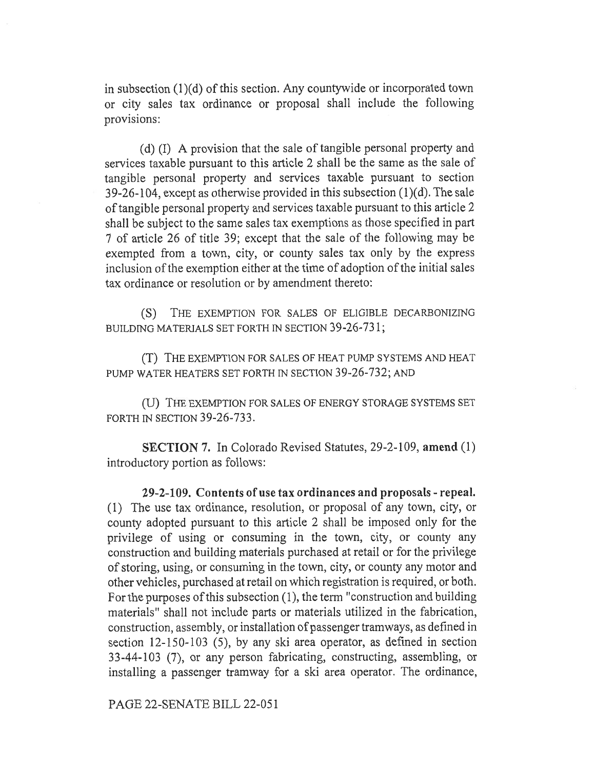in subsection (1)(d) of this section. Any countywide or incorporated town or city sales tax ordinance or proposal shall include the following provisions:

(d) (I) A provision that the sale of tangible personal property and services taxable pursuant to this article 2 shall be the same as the sale of tangible personal property and services taxable pursuant to section 39-26-104, except as otherwise provided in this subsection (1)(d). The sale of tangible personal property and services taxable pursuant to this article 2 shall be subject to the same sales tax exemptions as those specified in part 7 of article 26 of title 39; except that the sale of the following may be exempted from a town, city, or county sales tax only by the express inclusion of the exemption either at the time of adoption of the initial sales tax ordinance or resolution or by amendment thereto:

(S) THE EXEMPTION FOR SALES OF ELIGIBLE DECARBONIZING BUILDING MATERIALS SET FORTH IN SECTION 39-26-731;

(T) THE EXEMPTION FOR SALES OF HEAT PUMP SYSTEMS AND HEAT PUMP WATER HEATERS SET FORTH IN SECTION 39-26-732; AND

(U) THE EXEMPTION FOR SALES OF ENERGY STORAGE SYSTEMS SET FORTH IN SECTION 39-26-733.

SECTION 7. In Colorado Revised Statutes, 29-2-109, amend (1) introductory portion as follows:

29-2-109. Contents of use tax ordinances and proposals - repeal. (1) The use tax ordinance, resolution, or proposal of any town, city, or county adopted pursuant to this article 2 shall be imposed only for the privilege of using or consuming in the town, city, or county any construction and building materials purchased at retail or for the privilege of storing, using, or consuming in the town, city, or county any motor and other vehicles, purchased at retail on which registration is required, or both. For the purposes of this subsection (1), the term "construction and building materials" shall not include parts or materials utilized in the fabrication, construction, assembly, or installation of passenger tramways, as defined in section 12-150-103 (5), by any ski area operator, as defined in section 33-44-103 (7), or any person fabricating, constructing, assembling, or installing a passenger tramway for a ski area operator. The ordinance,

PAGE 22-SENATE BILL 22-051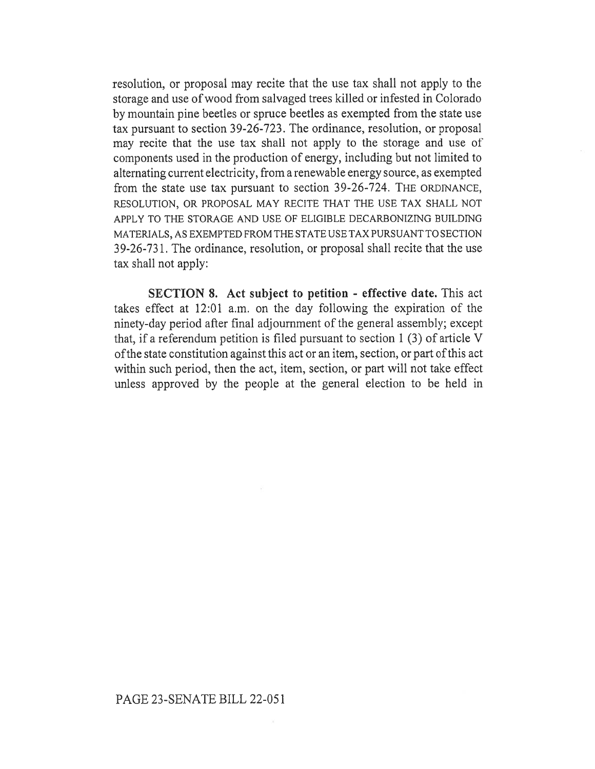resolution, or proposal may recite that the use tax shall not apply to the storage and use of wood from salvaged trees killed or infested in Colorado by mountain pine beetles or spruce beetles as exempted from the state use tax pursuant to section 39-26-723. The ordinance, resolution, or proposal may recite that the use tax shall not apply to the storage and use of components used in the production of energy, including but not limited to alternating current electricity, from a renewable energy source, as exempted from the state use tax pursuant to section 39-26-724. THE ORDINANCE, RESOLUTION, OR PROPOSAL MAY RECITE THAT THE USE TAX SHALL NOT APPLY TO THE STORAGE AND USE OF ELIGIBLE DECARBONIZING BUILDING MATERIALS, AS EXEMPTED FROM THE STATE USE TAX PURSUANT TO SECTION 39-26-731. The ordinance, resolution, or proposal shall recite that the use tax shall not apply:

SECTION 8. Act subject to petition - effective date. This act takes effect at 12:01 a.m. on the day following the expiration of the ninety-day period after final adjournment of the general assembly; except that, if a referendum petition is filed pursuant to section 1 (3) of article V of the state constitution against this act or an item, section, or part of this act within such period, then the act, item, section, or part will not take effect unless approved by the people at the general election to be held in